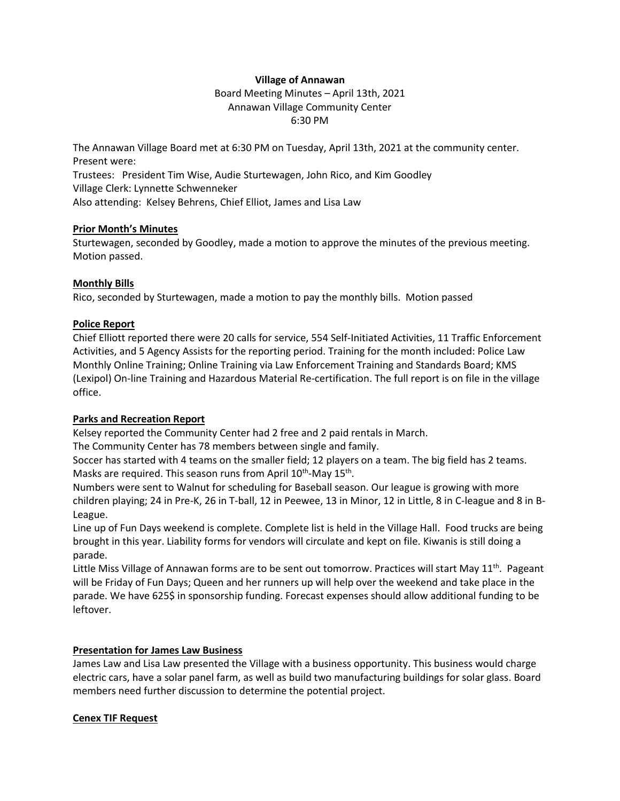## **Village of Annawan**

Board Meeting Minutes – April 13th, 2021 Annawan Village Community Center 6:30 PM

The Annawan Village Board met at 6:30 PM on Tuesday, April 13th, 2021 at the community center. Present were:

Trustees: President Tim Wise, Audie Sturtewagen, John Rico, and Kim Goodley Village Clerk: Lynnette Schwenneker

Also attending: Kelsey Behrens, Chief Elliot, James and Lisa Law

## **Prior Month's Minutes**

Sturtewagen, seconded by Goodley, made a motion to approve the minutes of the previous meeting. Motion passed.

# **Monthly Bills**

Rico, seconded by Sturtewagen, made a motion to pay the monthly bills. Motion passed

## **Police Report**

Chief Elliott reported there were 20 calls for service, 554 Self-Initiated Activities, 11 Traffic Enforcement Activities, and 5 Agency Assists for the reporting period. Training for the month included: Police Law Monthly Online Training; Online Training via Law Enforcement Training and Standards Board; KMS (Lexipol) On-line Training and Hazardous Material Re-certification. The full report is on file in the village office.

# **Parks and Recreation Report**

Kelsey reported the Community Center had 2 free and 2 paid rentals in March.

The Community Center has 78 members between single and family.

Soccer has started with 4 teams on the smaller field; 12 players on a team. The big field has 2 teams. Masks are required. This season runs from April 10<sup>th</sup>-May 15<sup>th</sup>.

Numbers were sent to Walnut for scheduling for Baseball season. Our league is growing with more children playing; 24 in Pre-K, 26 in T-ball, 12 in Peewee, 13 in Minor, 12 in Little, 8 in C-league and 8 in B-League.

Line up of Fun Days weekend is complete. Complete list is held in the Village Hall. Food trucks are being brought in this year. Liability forms for vendors will circulate and kept on file. Kiwanis is still doing a parade.

Little Miss Village of Annawan forms are to be sent out tomorrow. Practices will start May 11<sup>th</sup>. Pageant will be Friday of Fun Days; Queen and her runners up will help over the weekend and take place in the parade. We have 625\$ in sponsorship funding. Forecast expenses should allow additional funding to be leftover.

# **Presentation for James Law Business**

James Law and Lisa Law presented the Village with a business opportunity. This business would charge electric cars, have a solar panel farm, as well as build two manufacturing buildings for solar glass. Board members need further discussion to determine the potential project.

# **Cenex TIF Request**